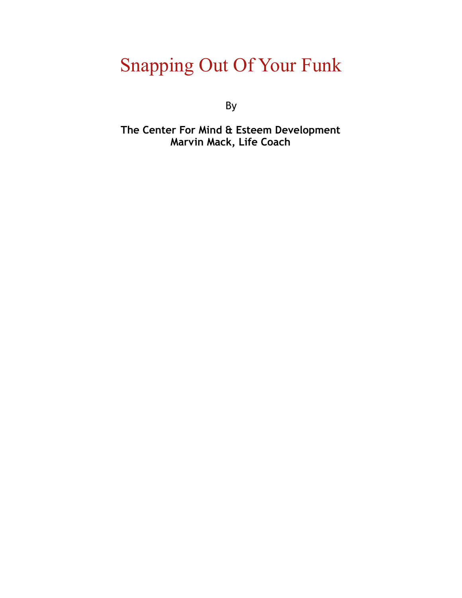### Snapping Out Of Your Funk

By

**The Center For Mind & Esteem Development Marvin Mack, Life Coach**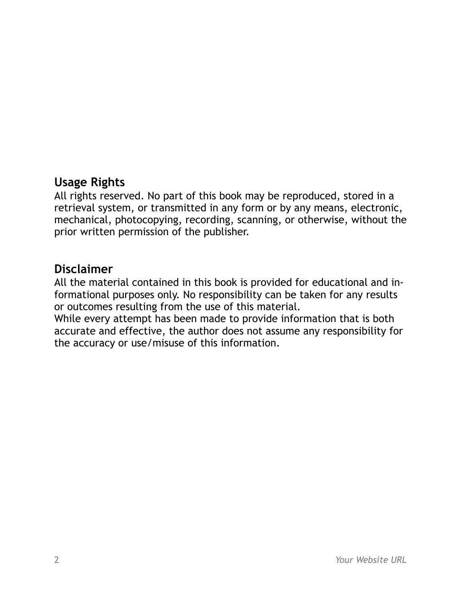#### **Usage Rights**

All rights reserved. No part of this book may be reproduced, stored in a retrieval system, or transmitted in any form or by any means, electronic, mechanical, photocopying, recording, scanning, or otherwise, without the prior written permission of the publisher.

#### **Disclaimer**

All the material contained in this book is provided for educational and informational purposes only. No responsibility can be taken for any results or outcomes resulting from the use of this material.

While every attempt has been made to provide information that is both accurate and effective, the author does not assume any responsibility for the accuracy or use/misuse of this information.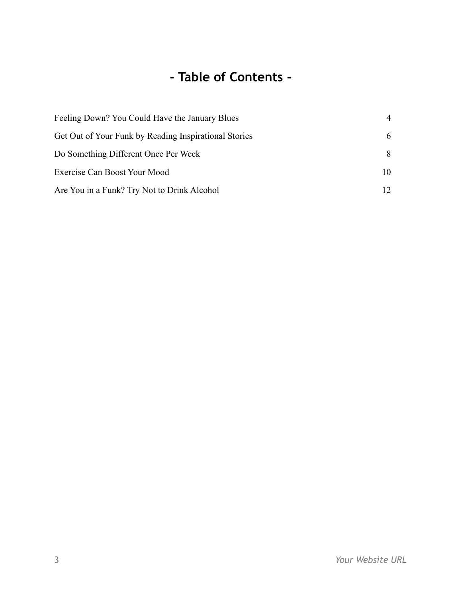#### **- Table of Contents -**

| Feeling Down? You Could Have the January Blues        | $\overline{4}$ |
|-------------------------------------------------------|----------------|
| Get Out of Your Funk by Reading Inspirational Stories | 6              |
| Do Something Different Once Per Week                  | 8              |
| Exercise Can Boost Your Mood                          | 10             |
| Are You in a Funk? Try Not to Drink Alcohol           | 12.            |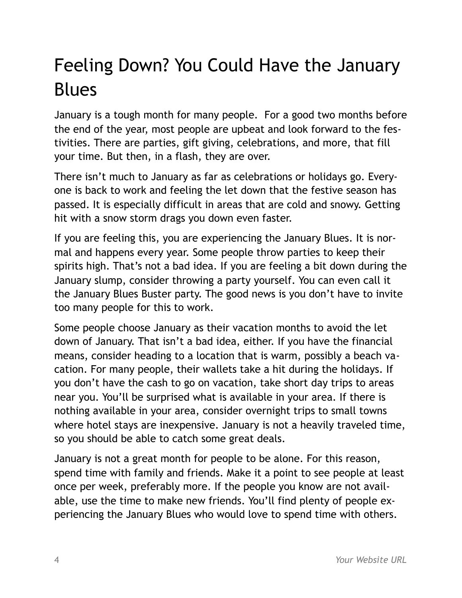# <span id="page-3-0"></span>Feeling Down? You Could Have the January Blues

January is a tough month for many people. For a good two months before the end of the year, most people are upbeat and look forward to the festivities. There are parties, gift giving, celebrations, and more, that fill your time. But then, in a flash, they are over.

There isn't much to January as far as celebrations or holidays go. Everyone is back to work and feeling the let down that the festive season has passed. It is especially difficult in areas that are cold and snowy. Getting hit with a snow storm drags you down even faster.

If you are feeling this, you are experiencing the January Blues. It is normal and happens every year. Some people throw parties to keep their spirits high. That's not a bad idea. If you are feeling a bit down during the January slump, consider throwing a party yourself. You can even call it the January Blues Buster party. The good news is you don't have to invite too many people for this to work.

Some people choose January as their vacation months to avoid the let down of January. That isn't a bad idea, either. If you have the financial means, consider heading to a location that is warm, possibly a beach vacation. For many people, their wallets take a hit during the holidays. If you don't have the cash to go on vacation, take short day trips to areas near you. You'll be surprised what is available in your area. If there is nothing available in your area, consider overnight trips to small towns where hotel stays are inexpensive. January is not a heavily traveled time, so you should be able to catch some great deals.

January is not a great month for people to be alone. For this reason, spend time with family and friends. Make it a point to see people at least once per week, preferably more. If the people you know are not available, use the time to make new friends. You'll find plenty of people experiencing the January Blues who would love to spend time with others.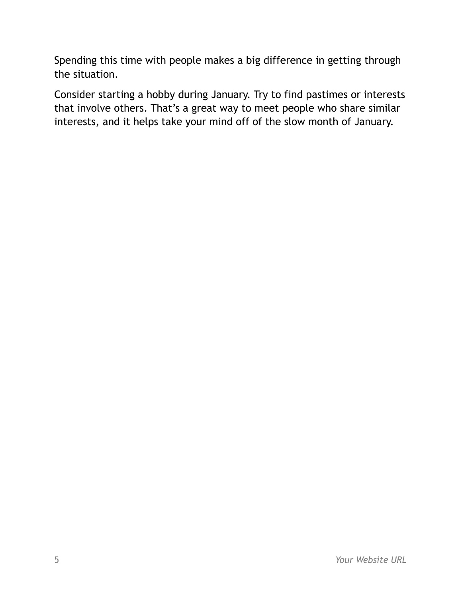Spending this time with people makes a big difference in getting through the situation.

Consider starting a hobby during January. Try to find pastimes or interests that involve others. That's a great way to meet people who share similar interests, and it helps take your mind off of the slow month of January.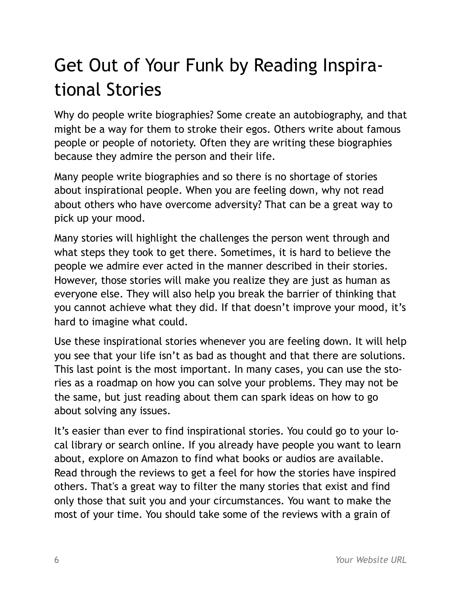# <span id="page-5-0"></span>Get Out of Your Funk by Reading Inspirational Stories

Why do people write biographies? Some create an autobiography, and that might be a way for them to stroke their egos. Others write about famous people or people of notoriety. Often they are writing these biographies because they admire the person and their life.

Many people write biographies and so there is no shortage of stories about inspirational people. When you are feeling down, why not read about others who have overcome adversity? That can be a great way to pick up your mood.

Many stories will highlight the challenges the person went through and what steps they took to get there. Sometimes, it is hard to believe the people we admire ever acted in the manner described in their stories. However, those stories will make you realize they are just as human as everyone else. They will also help you break the barrier of thinking that you cannot achieve what they did. If that doesn't improve your mood, it's hard to imagine what could.

Use these inspirational stories whenever you are feeling down. It will help you see that your life isn't as bad as thought and that there are solutions. This last point is the most important. In many cases, you can use the stories as a roadmap on how you can solve your problems. They may not be the same, but just reading about them can spark ideas on how to go about solving any issues.

It's easier than ever to find inspirational stories. You could go to your local library or search online. If you already have people you want to learn about, explore on Amazon to find what books or audios are available. Read through the reviews to get a feel for how the stories have inspired others. That's a great way to filter the many stories that exist and find only those that suit you and your circumstances. You want to make the most of your time. You should take some of the reviews with a grain of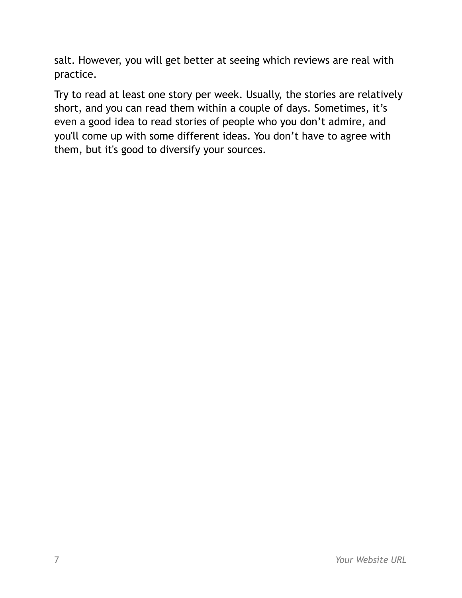salt. However, you will get better at seeing which reviews are real with practice.

Try to read at least one story per week. Usually, the stories are relatively short, and you can read them within a couple of days. Sometimes, it's even a good idea to read stories of people who you don't admire, and you'll come up with some different ideas. You don't have to agree with them, but it's good to diversify your sources.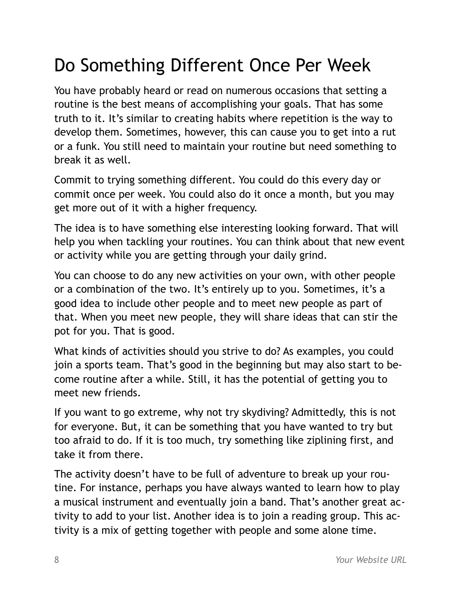## <span id="page-7-0"></span>Do Something Different Once Per Week

You have probably heard or read on numerous occasions that setting a routine is the best means of accomplishing your goals. That has some truth to it. It's similar to creating habits where repetition is the way to develop them. Sometimes, however, this can cause you to get into a rut or a funk. You still need to maintain your routine but need something to break it as well.

Commit to trying something different. You could do this every day or commit once per week. You could also do it once a month, but you may get more out of it with a higher frequency.

The idea is to have something else interesting looking forward. That will help you when tackling your routines. You can think about that new event or activity while you are getting through your daily grind.

You can choose to do any new activities on your own, with other people or a combination of the two. It's entirely up to you. Sometimes, it's a good idea to include other people and to meet new people as part of that. When you meet new people, they will share ideas that can stir the pot for you. That is good.

What kinds of activities should you strive to do? As examples, you could join a sports team. That's good in the beginning but may also start to become routine after a while. Still, it has the potential of getting you to meet new friends.

If you want to go extreme, why not try skydiving? Admittedly, this is not for everyone. But, it can be something that you have wanted to try but too afraid to do. If it is too much, try something like ziplining first, and take it from there.

The activity doesn't have to be full of adventure to break up your routine. For instance, perhaps you have always wanted to learn how to play a musical instrument and eventually join a band. That's another great activity to add to your list. Another idea is to join a reading group. This activity is a mix of getting together with people and some alone time.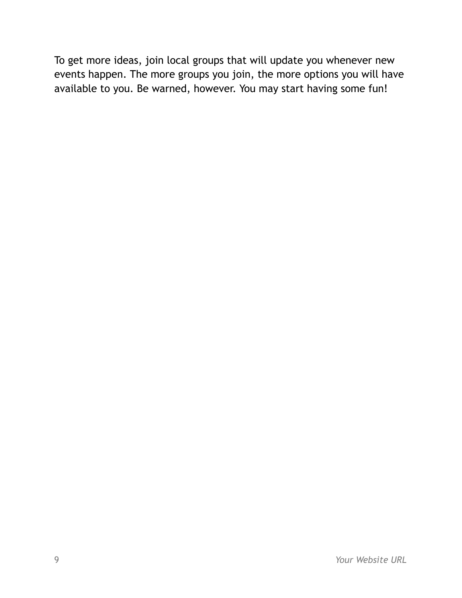To get more ideas, join local groups that will update you whenever new events happen. The more groups you join, the more options you will have available to you. Be warned, however. You may start having some fun!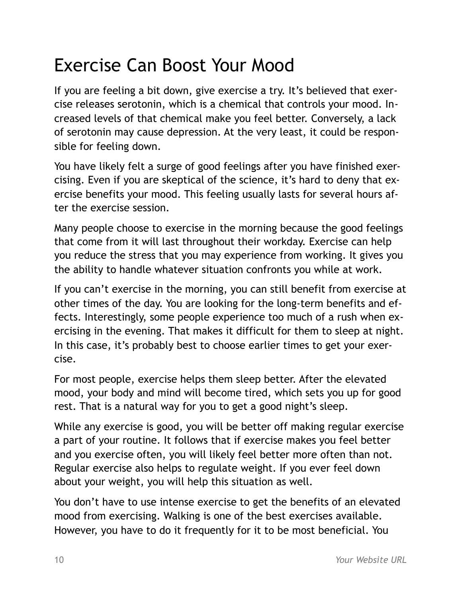### <span id="page-9-0"></span>Exercise Can Boost Your Mood

If you are feeling a bit down, give exercise a try. It's believed that exercise releases serotonin, which is a chemical that controls your mood. Increased levels of that chemical make you feel better. Conversely, a lack of serotonin may cause depression. At the very least, it could be responsible for feeling down.

You have likely felt a surge of good feelings after you have finished exercising. Even if you are skeptical of the science, it's hard to deny that exercise benefits your mood. This feeling usually lasts for several hours after the exercise session.

Many people choose to exercise in the morning because the good feelings that come from it will last throughout their workday. Exercise can help you reduce the stress that you may experience from working. It gives you the ability to handle whatever situation confronts you while at work.

If you can't exercise in the morning, you can still benefit from exercise at other times of the day. You are looking for the long-term benefits and effects. Interestingly, some people experience too much of a rush when exercising in the evening. That makes it difficult for them to sleep at night. In this case, it's probably best to choose earlier times to get your exercise.

For most people, exercise helps them sleep better. After the elevated mood, your body and mind will become tired, which sets you up for good rest. That is a natural way for you to get a good night's sleep.

While any exercise is good, you will be better off making regular exercise a part of your routine. It follows that if exercise makes you feel better and you exercise often, you will likely feel better more often than not. Regular exercise also helps to regulate weight. If you ever feel down about your weight, you will help this situation as well.

You don't have to use intense exercise to get the benefits of an elevated mood from exercising. Walking is one of the best exercises available. However, you have to do it frequently for it to be most beneficial. You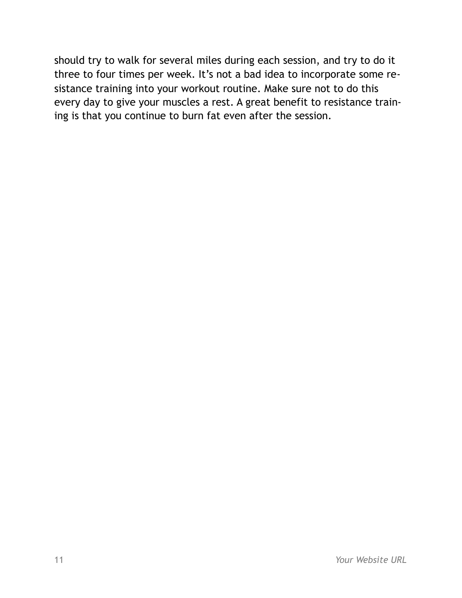should try to walk for several miles during each session, and try to do it three to four times per week. It's not a bad idea to incorporate some resistance training into your workout routine. Make sure not to do this every day to give your muscles a rest. A great benefit to resistance training is that you continue to burn fat even after the session.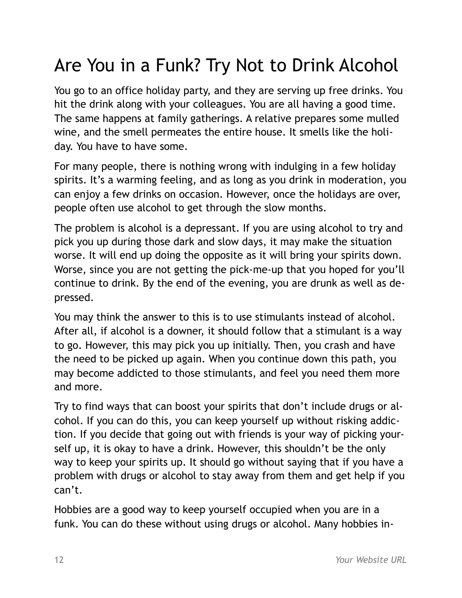# <span id="page-11-0"></span>Are You in a Funk? Try Not to Drink Alcohol

You go to an office holiday party, and they are serving up free drinks. You hit the drink along with your colleagues. You are all having a good time. The same happens at family gatherings. A relative prepares some mulled wine, and the smell permeates the entire house. It smells like the holiday. You have to have some.

For many people, there is nothing wrong with indulging in a few holiday spirits. It's a warming feeling, and as long as you drink in moderation, you can enjoy a few drinks on occasion. However, once the holidays are over, people often use alcohol to get through the slow months.

The problem is alcohol is a depressant. If you are using alcohol to try and pick you up during those dark and slow days, it may make the situation worse. It will end up doing the opposite as it will bring your spirits down. Worse, since you are not getting the pick-me-up that you hoped for you'll continue to drink. By the end of the evening, you are drunk as well as depressed.

You may think the answer to this is to use stimulants instead of alcohol. After all, if alcohol is a downer, it should follow that a stimulant is a way to go. However, this may pick you up initially. Then, you crash and have the need to be picked up again. When you continue down this path, you may become addicted to those stimulants, and feel you need them more and more.

Try to find ways that can boost your spirits that don't include drugs or alcohol. If you can do this, you can keep yourself up without risking addiction. If you decide that going out with friends is your way of picking yourself up, it is okay to have a drink. However, this shouldn't be the only way to keep your spirits up. It should go without saying that if you have a problem with drugs or alcohol to stay away from them and get help if you can't.

Hobbies are a good way to keep yourself occupied when you are in a funk. You can do these without using drugs or alcohol. Many hobbies in